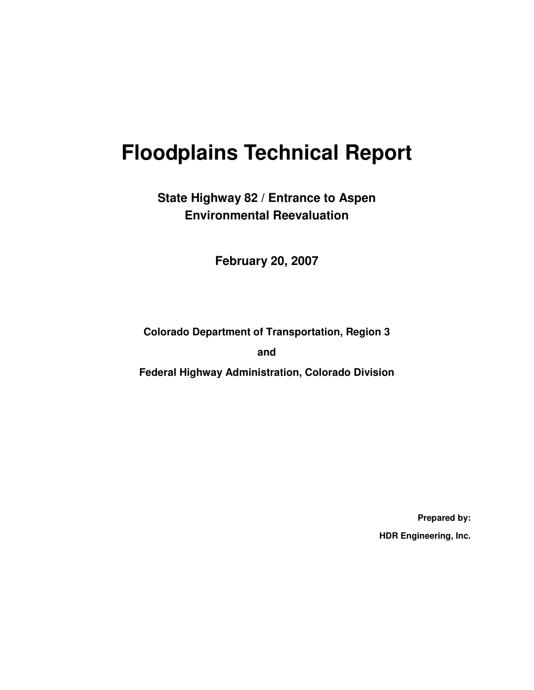# **Floodplains Technical Report**

### **State Highway 82 / Entrance to Aspen Environmental Reevaluation**

**February 20, 2007** 

**Colorado Department of Transportation, Region 3** 

**and** 

**Federal Highway Administration, Colorado Division** 

**Prepared by: HDR Engineering, Inc.**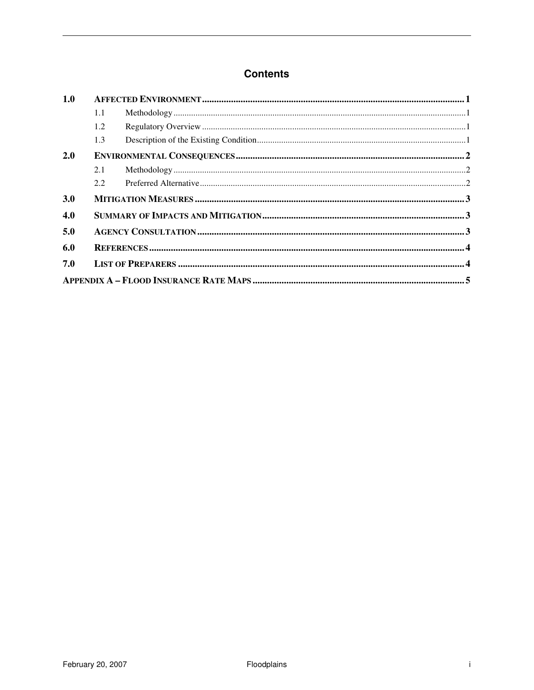#### **Contents**

| 1.0 |               |                          |  |  |  |
|-----|---------------|--------------------------|--|--|--|
|     | 1.1           | ${\bf Methodology}\, 1.$ |  |  |  |
|     | 1.2           |                          |  |  |  |
|     | 1.3           |                          |  |  |  |
| 2.0 |               |                          |  |  |  |
|     | 2.1           |                          |  |  |  |
|     | $2.2^{\circ}$ |                          |  |  |  |
| 3.0 |               |                          |  |  |  |
| 4.0 |               |                          |  |  |  |
| 5.0 |               |                          |  |  |  |
| 6.0 |               |                          |  |  |  |
| 7.0 |               |                          |  |  |  |
|     |               |                          |  |  |  |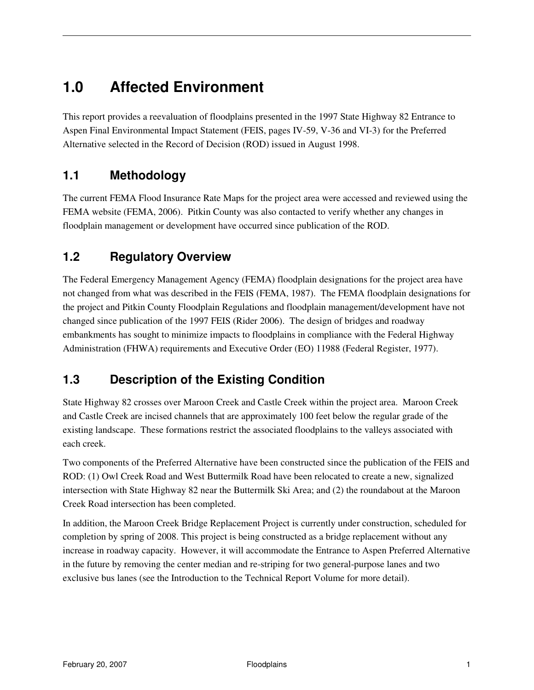### **1.0 Affected Environment**

This report provides a reevaluation of floodplains presented in the 1997 State Highway 82 Entrance to Aspen Final Environmental Impact Statement (FEIS, pages IV-59, V-36 and VI-3) for the Preferred Alternative selected in the Record of Decision (ROD) issued in August 1998.

#### **1.1 Methodology**

The current FEMA Flood Insurance Rate Maps for the project area were accessed and reviewed using the FEMA website (FEMA, 2006). Pitkin County was also contacted to verify whether any changes in floodplain management or development have occurred since publication of the ROD.

#### **1.2 Regulatory Overview**

The Federal Emergency Management Agency (FEMA) floodplain designations for the project area have not changed from what was described in the FEIS (FEMA, 1987). The FEMA floodplain designations for the project and Pitkin County Floodplain Regulations and floodplain management/development have not changed since publication of the 1997 FEIS (Rider 2006). The design of bridges and roadway embankments has sought to minimize impacts to floodplains in compliance with the Federal Highway Administration (FHWA) requirements and Executive Order (EO) 11988 (Federal Register, 1977).

#### **1.3 Description of the Existing Condition**

State Highway 82 crosses over Maroon Creek and Castle Creek within the project area. Maroon Creek and Castle Creek are incised channels that are approximately 100 feet below the regular grade of the existing landscape. These formations restrict the associated floodplains to the valleys associated with each creek.

Two components of the Preferred Alternative have been constructed since the publication of the FEIS and ROD: (1) Owl Creek Road and West Buttermilk Road have been relocated to create a new, signalized intersection with State Highway 82 near the Buttermilk Ski Area; and (2) the roundabout at the Maroon Creek Road intersection has been completed.

In addition, the Maroon Creek Bridge Replacement Project is currently under construction, scheduled for completion by spring of 2008. This project is being constructed as a bridge replacement without any increase in roadway capacity. However, it will accommodate the Entrance to Aspen Preferred Alternative in the future by removing the center median and re-striping for two general-purpose lanes and two exclusive bus lanes (see the Introduction to the Technical Report Volume for more detail).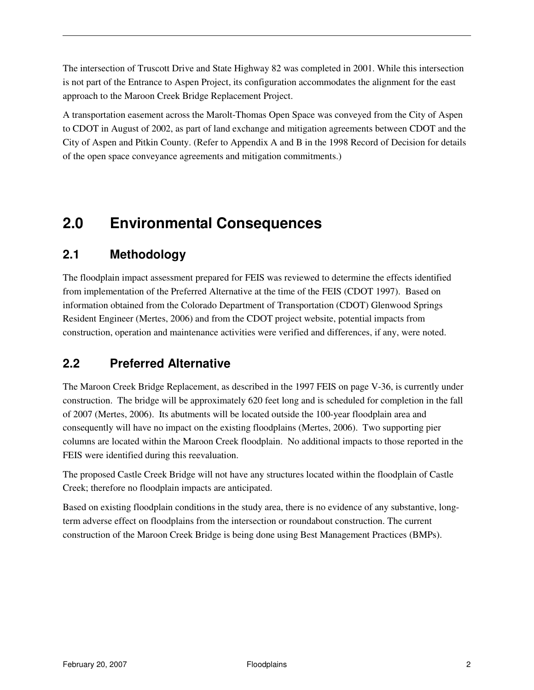The intersection of Truscott Drive and State Highway 82 was completed in 2001. While this intersection is not part of the Entrance to Aspen Project, its configuration accommodates the alignment for the east approach to the Maroon Creek Bridge Replacement Project.

A transportation easement across the Marolt-Thomas Open Space was conveyed from the City of Aspen to CDOT in August of 2002, as part of land exchange and mitigation agreements between CDOT and the City of Aspen and Pitkin County. (Refer to Appendix A and B in the 1998 Record of Decision for details of the open space conveyance agreements and mitigation commitments.)

### **2.0 Environmental Consequences**

### **2.1 Methodology**

The floodplain impact assessment prepared for FEIS was reviewed to determine the effects identified from implementation of the Preferred Alternative at the time of the FEIS (CDOT 1997). Based on information obtained from the Colorado Department of Transportation (CDOT) Glenwood Springs Resident Engineer (Mertes, 2006) and from the CDOT project website, potential impacts from construction, operation and maintenance activities were verified and differences, if any, were noted.

### **2.2 Preferred Alternative**

The Maroon Creek Bridge Replacement, as described in the 1997 FEIS on page V-36, is currently under construction. The bridge will be approximately 620 feet long and is scheduled for completion in the fall of 2007 (Mertes, 2006). Its abutments will be located outside the 100-year floodplain area and consequently will have no impact on the existing floodplains (Mertes, 2006). Two supporting pier columns are located within the Maroon Creek floodplain. No additional impacts to those reported in the FEIS were identified during this reevaluation.

The proposed Castle Creek Bridge will not have any structures located within the floodplain of Castle Creek; therefore no floodplain impacts are anticipated.

Based on existing floodplain conditions in the study area, there is no evidence of any substantive, longterm adverse effect on floodplains from the intersection or roundabout construction. The current construction of the Maroon Creek Bridge is being done using Best Management Practices (BMPs).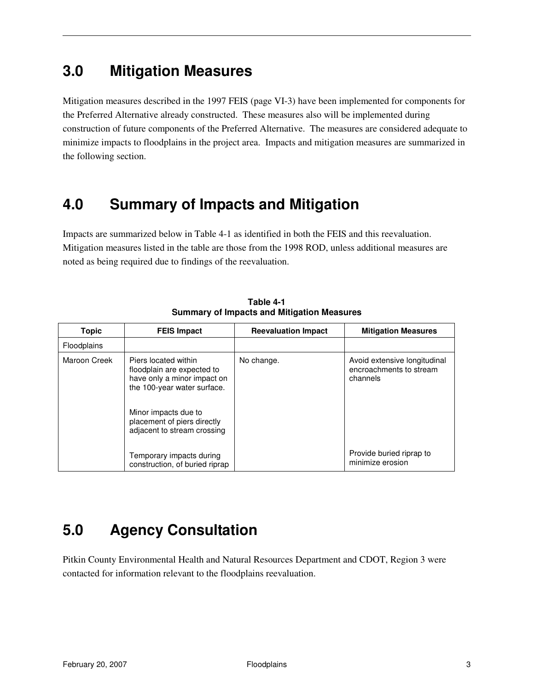### **3.0 Mitigation Measures**

Mitigation measures described in the 1997 FEIS (page VI-3) have been implemented for components for the Preferred Alternative already constructed. These measures also will be implemented during construction of future components of the Preferred Alternative. The measures are considered adequate to minimize impacts to floodplains in the project area. Impacts and mitigation measures are summarized in the following section.

### **4.0 Summary of Impacts and Mitigation**

Impacts are summarized below in Table 4-1 as identified in both the FEIS and this reevaluation. Mitigation measures listed in the table are those from the 1998 ROD, unless additional measures are noted as being required due to findings of the reevaluation.

| <b>Topic</b>       | <b>FEIS Impact</b>                                                                                                                                                                                     | <b>Reevaluation Impact</b> | <b>Mitigation Measures</b>                                          |
|--------------------|--------------------------------------------------------------------------------------------------------------------------------------------------------------------------------------------------------|----------------------------|---------------------------------------------------------------------|
| <b>Floodplains</b> |                                                                                                                                                                                                        |                            |                                                                     |
| Maroon Creek       | Piers located within<br>floodplain are expected to<br>have only a minor impact on<br>the 100-year water surface.<br>Minor impacts due to<br>placement of piers directly<br>adjacent to stream crossing | No change.                 | Avoid extensive longitudinal<br>encroachments to stream<br>channels |
|                    | Temporary impacts during<br>construction, of buried riprap                                                                                                                                             |                            | Provide buried riprap to<br>minimize erosion                        |

**Table 4-1 Summary of Impacts and Mitigation Measures** 

# **5.0 Agency Consultation**

Pitkin County Environmental Health and Natural Resources Department and CDOT, Region 3 were contacted for information relevant to the floodplains reevaluation.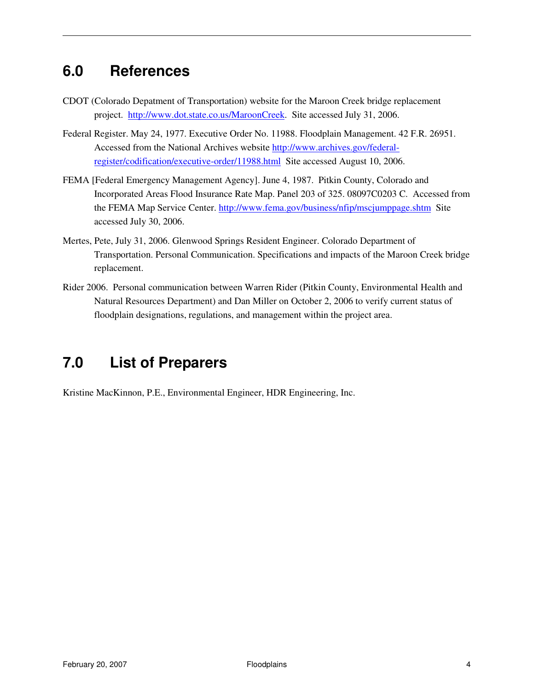### **6.0 References**

- CDOT (Colorado Depatment of Transportation) website for the Maroon Creek bridge replacement project. http://www.dot.state.co.us/MaroonCreek. Site accessed July 31, 2006.
- Federal Register. May 24, 1977. Executive Order No. 11988. Floodplain Management. 42 F.R. 26951. Accessed from the National Archives website http://www.archives.gov/federalregister/codification/executive-order/11988.html Site accessed August 10, 2006.
- FEMA [Federal Emergency Management Agency]. June 4, 1987. Pitkin County, Colorado and Incorporated Areas Flood Insurance Rate Map. Panel 203 of 325. 08097C0203 C. Accessed from the FEMA Map Service Center. http://www.fema.gov/business/nfip/mscjumppage.shtm Site accessed July 30, 2006.
- Mertes, Pete, July 31, 2006. Glenwood Springs Resident Engineer. Colorado Department of Transportation. Personal Communication. Specifications and impacts of the Maroon Creek bridge replacement.
- Rider 2006. Personal communication between Warren Rider (Pitkin County, Environmental Health and Natural Resources Department) and Dan Miller on October 2, 2006 to verify current status of floodplain designations, regulations, and management within the project area.

# **7.0 List of Preparers**

Kristine MacKinnon, P.E., Environmental Engineer, HDR Engineering, Inc.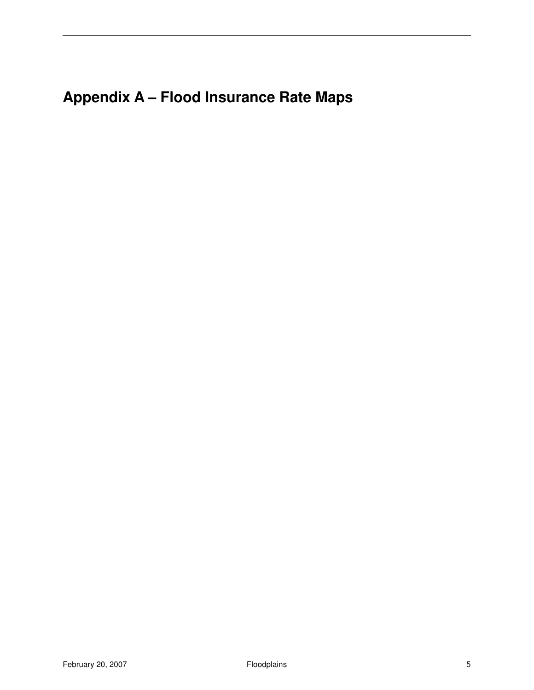# **Appendix A – Flood Insurance Rate Maps**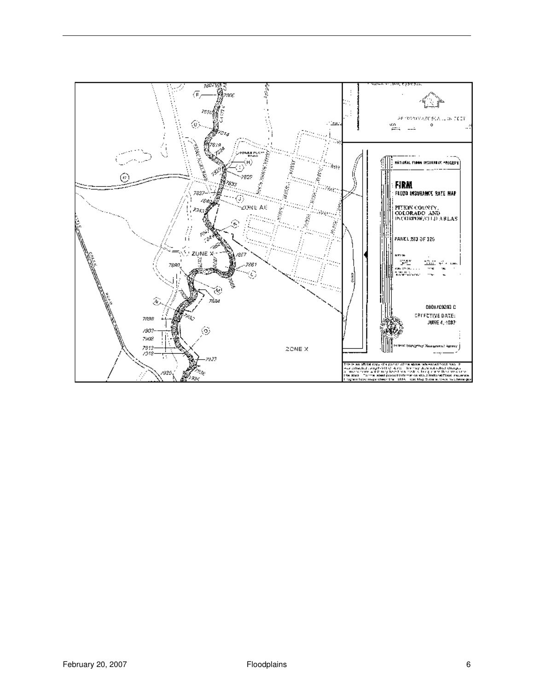